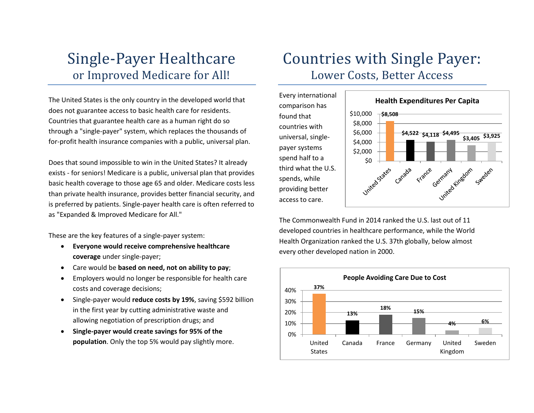### Single-Payer Healthcare or Improved Medicare for All!

The United States is the only country in the developed world that does not guarantee access to basic health care for residents. Countries that guarantee health care as a human right do so through a "single-payer" system, which replaces the thousands of for-profit health insurance companies with a public, universal plan.

Does that sound impossible to win in the United States? It already exists - for seniors! Medicare is a public, universal plan that provides basic health coverage to those age 65 and older. Medicare costs less than private health insurance, provides better financial security, and is preferred by patients. Single-payer health care is often referred to as "Expanded & Improved Medicare for All."

These are the key features of a single-payer system:

- **Everyone would receive comprehensive healthcare coverage** under single-payer;
- Care would be **based on need, not on ability to pay**;
- Employers would no longer be responsible for health care costs and coverage decisions;
- Single-payer would **reduce costs by 19%**, saving \$592 billion in the first year by cutting administrative waste and allowing negotiation of prescription drugs; and
- **Single-payer would create savings for 95% of the population**. Only the top 5% would pay slightly more.

### Countries with Single Payer: Lower Costs, Better Access

Every international comparison has found that countries with universal, singlepayer systems spend half to a third what the U.S. spends, while providing better access to care.



The Commonwealth Fund in 2014 ranked the U.S. last out of 11 developed countries in healthcare performance, while the World Health Organization ranked the U.S. 37th globally, below almost every other developed nation in 2000.

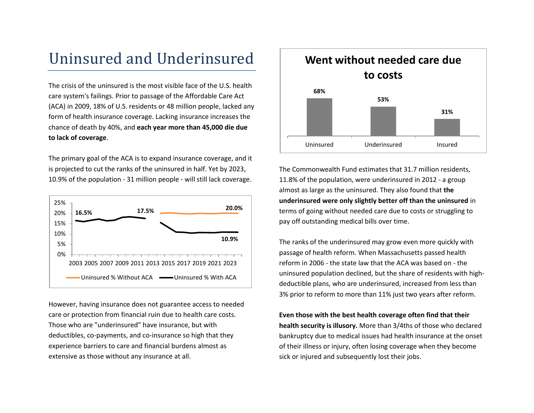### Uninsured and Underinsured

The crisis of the uninsured is the most visible face of the U.S. health care system's failings. Prior to passage of the Affordable Care Act (ACA) in 2009, 18% of U.S. residents or 48 million people, lacked any form of health insurance coverage. Lacking insurance increases the chance of death by 40%, and **each year more than 45,000 die due to lack of coverage**.

The primary goal of the ACA is to expand insurance coverage, and it is projected to cut the ranks of the uninsured in half. Yet by 2023, 10.9% of the population - 31 million people - will still lack coverage.



However, having insurance does not guarantee access to needed care or protection from financial ruin due to health care costs. Those who are "underinsured" have insurance, but with deductibles, co-payments, and co-insurance so high that they experience barriers to care and financial burdens almost as extensive as those without any insurance at all.



The Commonwealth Fund estimates that 31.7 million residents, 11.8% of the population, were underinsured in 2012 - a group almost as large as the uninsured. They also found that **the underinsured were only slightly better off than the uninsured** in terms of going without needed care due to costs or struggling to pay off outstanding medical bills over time.

The ranks of the underinsured may grow even more quickly with passage of health reform. When Massachusetts passed health reform in 2006 - the state law that the ACA was based on - the uninsured population declined, but the share of residents with highdeductible plans, who are underinsured, increased from less than 3% prior to reform to more than 11% just two years after reform.

**Even those with the best health coverage often find that their health security is illusory.** More than 3/4ths of those who declared bankruptcy due to medical issues had health insurance at the onset of their illness or injury, often losing coverage when they become sick or injured and subsequently lost their jobs.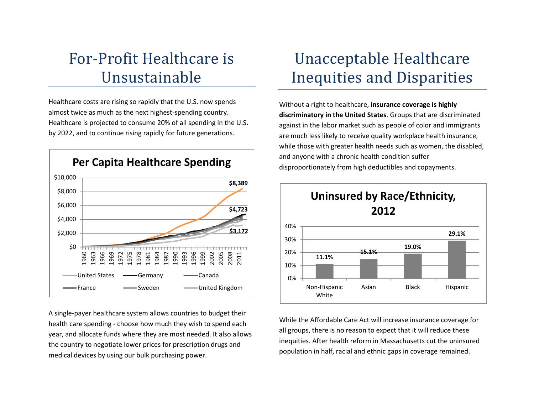# For-Profit Healthcare is Unsustainable

Healthcare costs are rising so rapidly that the U.S. now spends almost twice as much as the next highest-spending country. Healthcare is projected to consume 20% of all spending in the U.S. by 2022, and to continue rising rapidly for future generations.



A single-payer healthcare system allows countries to budget their health care spending - choose how much they wish to spend each year, and allocate funds where they are most needed. It also allows the country to negotiate lower prices for prescription drugs and medical devices by using our bulk purchasing power.

## Unacceptable Healthcare Inequities and Disparities

Without a right to healthcare, **insurance coverage is highly discriminatory in the United States**. Groups that are discriminated against in the labor market such as people of color and immigrants are much less likely to receive quality workplace health insurance, while those with greater health needs such as women, the disabled, and anyone with a chronic health condition suffer disproportionately from high deductibles and copayments.



While the Affordable Care Act will increase insurance coverage for all groups, there is no reason to expect that it will reduce these inequities. After health reform in Massachusetts cut the uninsured population in half, racial and ethnic gaps in coverage remained.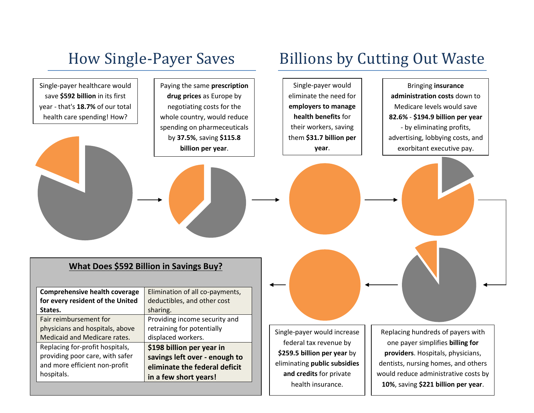# How Single-Payer Saves Billions by Cutting Out Waste